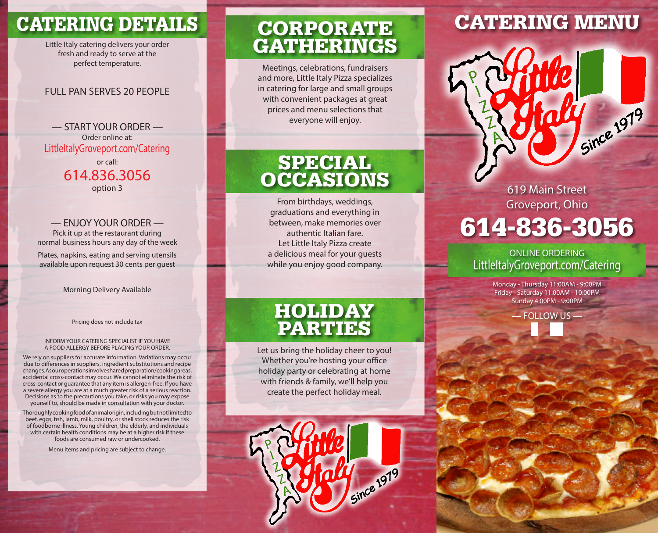# CATERING DETAILS

Little Italy catering delivers your order fresh and ready to serve at the perfect temperature.

### FULL PAN SERVES 20 PEOPLE

— START YOUR ORDER — Order online at: LittleItalyGroveport.com/Catering

> or call: 614.836.3056 option 3

### — ENJOY YOUR ORDER —

Pick it up at the restaurant during normal business hours any day of the week

Plates, napkins, eating and serving utensils available upon request 30 cents per guest

#### Morning Delivery Available

Pricing does not include tax

#### INFORM YOUR CATERING SPECIALIST IF YOU HAVE A FOOD ALLERGY BEFORE PLACING YOUR ORDER.

We rely on suppliers for accurate information. Variations may occur due to differences in suppliers, ingredient substitutions and recipe changes. As our operations involve shared preparation/cooking areas, accidental cross-contact may occur. We cannot eliminate the risk of cross-contact or guarantee that any item is allergen-free. If you have a severe allergy you are at a much greater risk of a serious reaction. Decisions as to the precautions you take, or risks you may expose yourself to, should be made in consultation with your doctor.

Thoroughly cooking food of animal origin, including but not limited to beef, eggs, fish, lamb, milk, poultry, or shell stock reduces the risk of foodborne illness. Young children, the elderly, and individuals with certain health conditions may be at a higher risk if these foods are consumed raw or undercooked.

Menu items and pricing are subject to change.

### CORPORATE GATHERINGS

Meetings, celebrations, fundraisers and more, Little Italy Pizza specializes in catering for large and small groups with convenient packages at great prices and menu selections that everyone will enjoy.

### **SPECIAL OCCASIONS**

From birthdays, weddings, graduations and everything in between, make memories over authentic Italian fare. Let Little Italy Pizza create a delicious meal for your guests while you enjoy good company.

### HOLIDAY PARTIES

Let us bring the holiday cheer to you! Whether you're hosting your office holiday party or celebrating at home with friends & family, we'll help you create the perfect holiday meal.



# CATERING MENU

619 Main Street Groveport, Ohio 614-836-3056

Since 1979

### ONLINE ORDERING LittleItalyGroveport.com/Catering

Monday - Thursday 11:00AM - 9:00PM Friday - Saturday 11:00AM - 10:00PM Sunday 4:00PM - 9:00PM

— FOLLOW US —